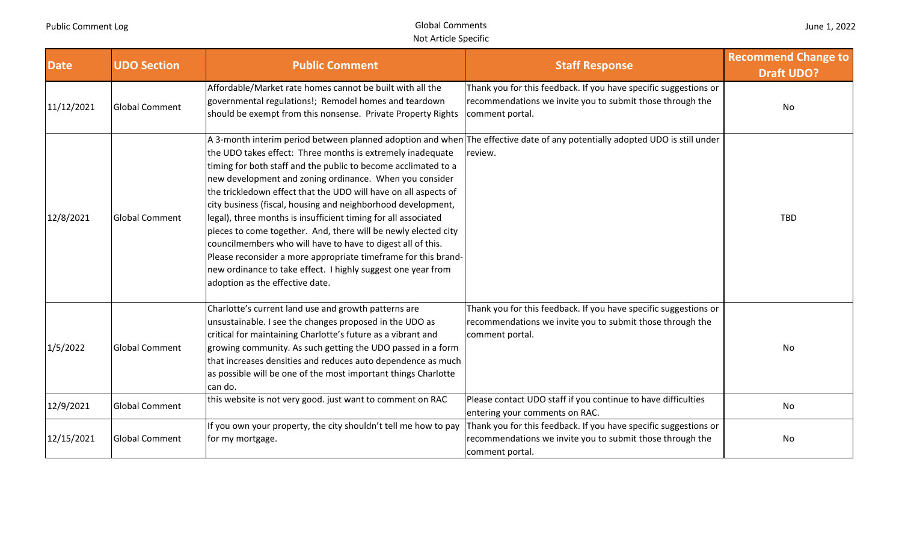| <b>Date</b> | <b>UDO Section</b>    | <b>Public Comment</b>                                                                                                                                                                                                                                                                                                                                                                                                                                                                                                                                                                                                                                                                              | <b>Staff Response</b>                                                                                                                            | <b>Recommend Change to</b><br><b>Draft UDO?</b> |
|-------------|-----------------------|----------------------------------------------------------------------------------------------------------------------------------------------------------------------------------------------------------------------------------------------------------------------------------------------------------------------------------------------------------------------------------------------------------------------------------------------------------------------------------------------------------------------------------------------------------------------------------------------------------------------------------------------------------------------------------------------------|--------------------------------------------------------------------------------------------------------------------------------------------------|-------------------------------------------------|
| 11/12/2021  | <b>Global Comment</b> | Affordable/Market rate homes cannot be built with all the<br>governmental regulations!; Remodel homes and teardown<br>should be exempt from this nonsense. Private Property Rights                                                                                                                                                                                                                                                                                                                                                                                                                                                                                                                 | Thank you for this feedback. If you have specific suggestions or<br>recommendations we invite you to submit those through the<br>comment portal. | No                                              |
| 12/8/2021   | <b>Global Comment</b> | the UDO takes effect: Three months is extremely inadequate<br>timing for both staff and the public to become acclimated to a<br>new development and zoning ordinance. When you consider<br>the trickledown effect that the UDO will have on all aspects of<br>city business (fiscal, housing and neighborhood development,<br>legal), three months is insufficient timing for all associated<br>pieces to come together. And, there will be newly elected city<br>councilmembers who will have to have to digest all of this.<br>Please reconsider a more appropriate timeframe for this brand-<br>new ordinance to take effect. I highly suggest one year from<br>adoption as the effective date. | A 3-month interim period between planned adoption and when The effective date of any potentially adopted UDO is still under<br>review.           | <b>TBD</b>                                      |
| 1/5/2022    | <b>Global Comment</b> | Charlotte's current land use and growth patterns are<br>unsustainable. I see the changes proposed in the UDO as<br>critical for maintaining Charlotte's future as a vibrant and<br>growing community. As such getting the UDO passed in a form<br>that increases densities and reduces auto dependence as much<br>as possible will be one of the most important things Charlotte<br>can do.                                                                                                                                                                                                                                                                                                        | Thank you for this feedback. If you have specific suggestions or<br>recommendations we invite you to submit those through the<br>comment portal. | No                                              |
| 12/9/2021   | <b>Global Comment</b> | this website is not very good. just want to comment on RAC                                                                                                                                                                                                                                                                                                                                                                                                                                                                                                                                                                                                                                         | Please contact UDO staff if you continue to have difficulties<br>entering your comments on RAC.                                                  | No                                              |
| 12/15/2021  | <b>Global Comment</b> | If you own your property, the city shouldn't tell me how to pay<br>for my mortgage.                                                                                                                                                                                                                                                                                                                                                                                                                                                                                                                                                                                                                | Thank you for this feedback. If you have specific suggestions or<br>recommendations we invite you to submit those through the<br>comment portal. | No                                              |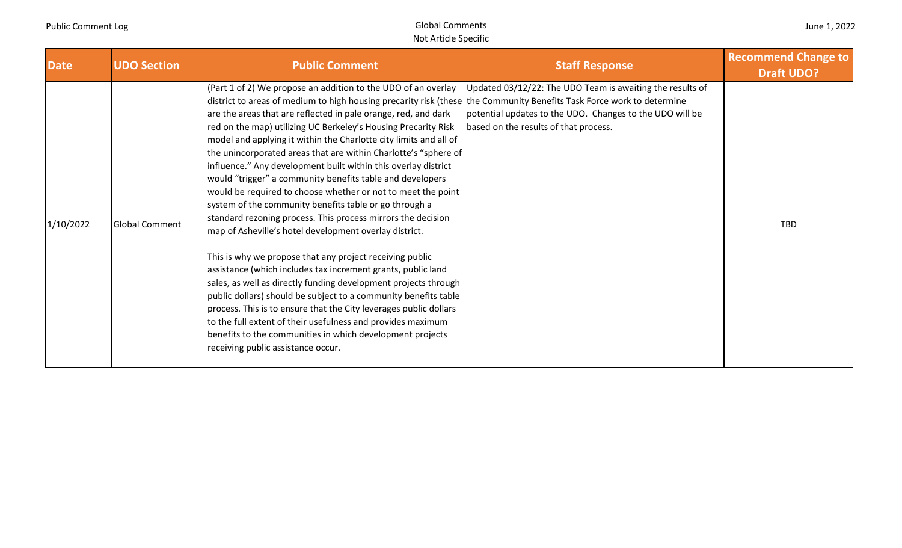| June 1, 2022 |  |  |  |
|--------------|--|--|--|
|--------------|--|--|--|

| <b>Date</b> | <b>UDO Section</b>    | <b>Public Comment</b>                                                                                                                                                                                                                                                                                                                                                                                                                                                                                                                                                                                                                                                                                                                                                                                                                                                                                                                                                                                                                                                                                                                                                                                                                                                                                                                                          | <b>Staff Response</b>                                                                                                                                          | <b>Recommend Change to</b><br><b>Draft UDO?</b> |
|-------------|-----------------------|----------------------------------------------------------------------------------------------------------------------------------------------------------------------------------------------------------------------------------------------------------------------------------------------------------------------------------------------------------------------------------------------------------------------------------------------------------------------------------------------------------------------------------------------------------------------------------------------------------------------------------------------------------------------------------------------------------------------------------------------------------------------------------------------------------------------------------------------------------------------------------------------------------------------------------------------------------------------------------------------------------------------------------------------------------------------------------------------------------------------------------------------------------------------------------------------------------------------------------------------------------------------------------------------------------------------------------------------------------------|----------------------------------------------------------------------------------------------------------------------------------------------------------------|-------------------------------------------------|
| 1/10/2022   | <b>Global Comment</b> | (Part 1 of 2) We propose an addition to the UDO of an overlay<br>district to areas of medium to high housing precarity risk (these the Community Benefits Task Force work to determine<br>are the areas that are reflected in pale orange, red, and dark<br>red on the map) utilizing UC Berkeley's Housing Precarity Risk<br>model and applying it within the Charlotte city limits and all of<br>the unincorporated areas that are within Charlotte's "sphere of<br>influence." Any development built within this overlay district<br>would "trigger" a community benefits table and developers<br>would be required to choose whether or not to meet the point<br>system of the community benefits table or go through a<br>standard rezoning process. This process mirrors the decision<br>map of Asheville's hotel development overlay district.<br>This is why we propose that any project receiving public<br>assistance (which includes tax increment grants, public land<br>sales, as well as directly funding development projects through<br>public dollars) should be subject to a community benefits table<br>process. This is to ensure that the City leverages public dollars<br>to the full extent of their usefulness and provides maximum<br>benefits to the communities in which development projects<br>receiving public assistance occur. | Updated 03/12/22: The UDO Team is awaiting the results of<br>potential updates to the UDO. Changes to the UDO will be<br>based on the results of that process. | <b>TBD</b>                                      |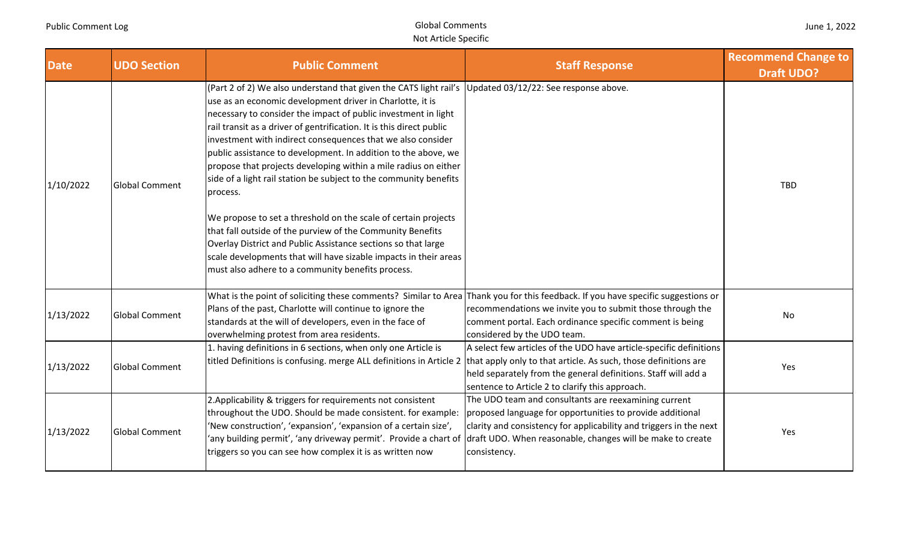|  | June 1, 2022 |
|--|--------------|
|--|--------------|

| <b>Date</b> | <b>UDO Section</b>    | <b>Public Comment</b>                                                                                                                                                                                                                                                                                                                                                                                                                                                                                                                                                                                                                                                                                                                                                                                                                                                                                                         | <b>Staff Response</b>                                                                                                                                                                                                                                                 | <b>Recommend Change to</b><br><b>Draft UDO?</b> |
|-------------|-----------------------|-------------------------------------------------------------------------------------------------------------------------------------------------------------------------------------------------------------------------------------------------------------------------------------------------------------------------------------------------------------------------------------------------------------------------------------------------------------------------------------------------------------------------------------------------------------------------------------------------------------------------------------------------------------------------------------------------------------------------------------------------------------------------------------------------------------------------------------------------------------------------------------------------------------------------------|-----------------------------------------------------------------------------------------------------------------------------------------------------------------------------------------------------------------------------------------------------------------------|-------------------------------------------------|
| 1/10/2022   | <b>Global Comment</b> | (Part 2 of 2) We also understand that given the CATS light rail's Updated 03/12/22: See response above.<br>use as an economic development driver in Charlotte, it is<br>necessary to consider the impact of public investment in light<br>rail transit as a driver of gentrification. It is this direct public<br>investment with indirect consequences that we also consider<br>public assistance to development. In addition to the above, we<br>propose that projects developing within a mile radius on either<br>side of a light rail station be subject to the community benefits<br>process.<br>We propose to set a threshold on the scale of certain projects<br>that fall outside of the purview of the Community Benefits<br>Overlay District and Public Assistance sections so that large<br>scale developments that will have sizable impacts in their areas<br>must also adhere to a community benefits process. |                                                                                                                                                                                                                                                                       | <b>TBD</b>                                      |
| 1/13/2022   | <b>Global Comment</b> | What is the point of soliciting these comments? Similar to Area Thank you for this feedback. If you have specific suggestions or<br>Plans of the past, Charlotte will continue to ignore the<br>standards at the will of developers, even in the face of<br>overwhelming protest from area residents.                                                                                                                                                                                                                                                                                                                                                                                                                                                                                                                                                                                                                         | recommendations we invite you to submit those through the<br>comment portal. Each ordinance specific comment is being<br>considered by the UDO team.                                                                                                                  | No                                              |
| 1/13/2022   | <b>Global Comment</b> | 1. having definitions in 6 sections, when only one Article is<br>titled Definitions is confusing. merge ALL definitions in Article 2 that apply only to that article. As such, those definitions are                                                                                                                                                                                                                                                                                                                                                                                                                                                                                                                                                                                                                                                                                                                          | A select few articles of the UDO have article-specific definitions<br>held separately from the general definitions. Staff will add a<br>sentence to Article 2 to clarify this approach.                                                                               | Yes                                             |
| 1/13/2022   | <b>Global Comment</b> | 2. Applicability & triggers for requirements not consistent<br>throughout the UDO. Should be made consistent. for example:<br>'New construction', 'expansion', 'expansion of a certain size',<br>'any building permit', 'any driveway permit'. Provide a chart of<br>triggers so you can see how complex it is as written now                                                                                                                                                                                                                                                                                                                                                                                                                                                                                                                                                                                                 | The UDO team and consultants are reexamining current<br>proposed language for opportunities to provide additional<br>clarity and consistency for applicability and triggers in the next<br>draft UDO. When reasonable, changes will be make to create<br>consistency. | Yes                                             |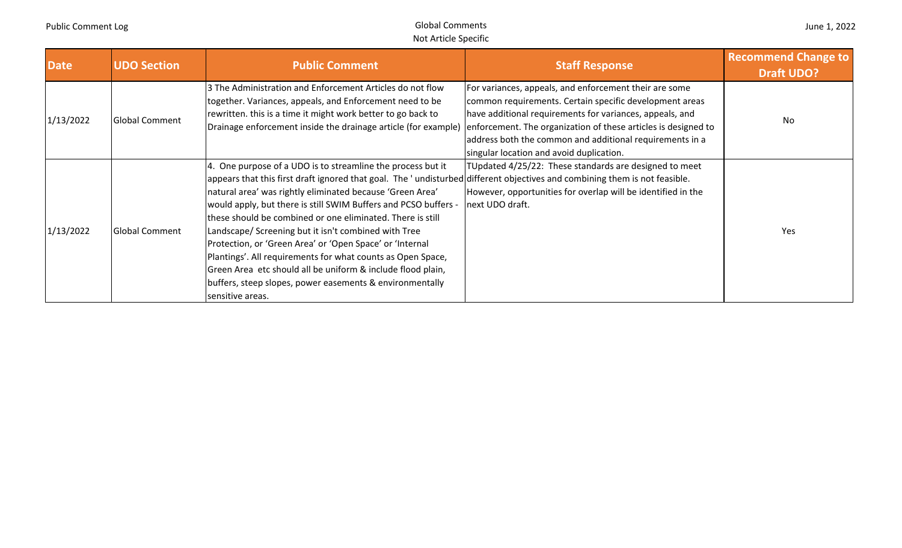| <b>Date</b> | <b>UDO Section</b>    | <b>Public Comment</b>                                                                                                                                                                                                                                                                                                                                                                                                                                                                                                                                                                                                                                                                                                     | <b>Staff Response</b>                                                                                                                                                                                                                                                                 | <b>Recommend Change to</b><br><b>Draft UDO?</b> |
|-------------|-----------------------|---------------------------------------------------------------------------------------------------------------------------------------------------------------------------------------------------------------------------------------------------------------------------------------------------------------------------------------------------------------------------------------------------------------------------------------------------------------------------------------------------------------------------------------------------------------------------------------------------------------------------------------------------------------------------------------------------------------------------|---------------------------------------------------------------------------------------------------------------------------------------------------------------------------------------------------------------------------------------------------------------------------------------|-------------------------------------------------|
| 1/13/2022   | <b>Global Comment</b> | 3 The Administration and Enforcement Articles do not flow<br>together. Variances, appeals, and Enforcement need to be<br>rewritten. this is a time it might work better to go back to<br>Drainage enforcement inside the drainage article (for example) enforcement. The organization of these articles is designed to                                                                                                                                                                                                                                                                                                                                                                                                    | For variances, appeals, and enforcement their are some<br>common requirements. Certain specific development areas<br>have additional requirements for variances, appeals, and<br>address both the common and additional requirements in a<br>singular location and avoid duplication. | No                                              |
| 1/13/2022   | <b>Global Comment</b> | 4. One purpose of a UDO is to streamline the process but it<br>appears that this first draft ignored that goal. The 'undisturbed different objectives and combining them is not feasible.<br>natural area' was rightly eliminated because 'Green Area'<br>would apply, but there is still SWIM Buffers and PCSO buffers -<br>these should be combined or one eliminated. There is still<br>Landscape/ Screening but it isn't combined with Tree<br>Protection, or 'Green Area' or 'Open Space' or 'Internal<br>Plantings'. All requirements for what counts as Open Space,<br>Green Area etc should all be uniform & include flood plain,<br>buffers, steep slopes, power easements & environmentally<br>sensitive areas. | TUpdated 4/25/22: These standards are designed to meet<br>However, opportunities for overlap will be identified in the<br>next UDO draft.                                                                                                                                             | Yes                                             |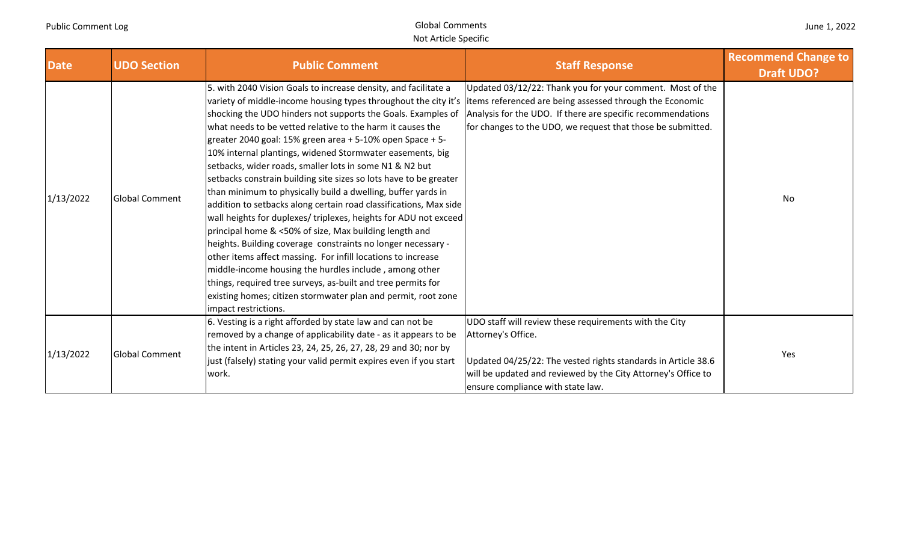| June 1, 2022 |  |  |  |
|--------------|--|--|--|
|--------------|--|--|--|

| <b>Date</b> | <b>UDO Section</b>    | <b>Public Comment</b>                                                                                                                                                                                                                                                                                                                                                                                                                                                                                                                                                                                                                                                                                                                                                                                                                                                                                                                                                                                                                                                                                                                            | <b>Staff Response</b>                                                                                                                                                                                                                                | <b>Recommend Change to</b> |
|-------------|-----------------------|--------------------------------------------------------------------------------------------------------------------------------------------------------------------------------------------------------------------------------------------------------------------------------------------------------------------------------------------------------------------------------------------------------------------------------------------------------------------------------------------------------------------------------------------------------------------------------------------------------------------------------------------------------------------------------------------------------------------------------------------------------------------------------------------------------------------------------------------------------------------------------------------------------------------------------------------------------------------------------------------------------------------------------------------------------------------------------------------------------------------------------------------------|------------------------------------------------------------------------------------------------------------------------------------------------------------------------------------------------------------------------------------------------------|----------------------------|
| 1/13/2022   | <b>Global Comment</b> | 5. with 2040 Vision Goals to increase density, and facilitate a<br>variety of middle-income housing types throughout the city it's<br>shocking the UDO hinders not supports the Goals. Examples of<br>what needs to be vetted relative to the harm it causes the<br>greater 2040 goal: 15% green area + 5-10% open Space + 5-<br>10% internal plantings, widened Stormwater easements, big<br>setbacks, wider roads, smaller lots in some N1 & N2 but<br>setbacks constrain building site sizes so lots have to be greater<br>than minimum to physically build a dwelling, buffer yards in<br>addition to setbacks along certain road classifications, Max side<br>wall heights for duplexes/ triplexes, heights for ADU not exceed<br>principal home & <50% of size, Max building length and<br>heights. Building coverage constraints no longer necessary -<br>other items affect massing. For infill locations to increase<br>middle-income housing the hurdles include, among other<br>things, required tree surveys, as-built and tree permits for<br>existing homes; citizen stormwater plan and permit, root zone<br>impact restrictions. | Updated 03/12/22: Thank you for your comment. Most of the<br>litems referenced are being assessed through the Economic<br>Analysis for the UDO. If there are specific recommendations<br>for changes to the UDO, we request that those be submitted. | <b>Draft UDO?</b><br>No    |
| 1/13/2022   | <b>Global Comment</b> | 6. Vesting is a right afforded by state law and can not be<br>removed by a change of applicability date - as it appears to be<br>the intent in Articles 23, 24, 25, 26, 27, 28, 29 and 30; nor by<br>just (falsely) stating your valid permit expires even if you start<br>work.                                                                                                                                                                                                                                                                                                                                                                                                                                                                                                                                                                                                                                                                                                                                                                                                                                                                 | UDO staff will review these requirements with the City<br>Attorney's Office.<br>Updated 04/25/22: The vested rights standards in Article 38.6<br>will be updated and reviewed by the City Attorney's Office to<br>ensure compliance with state law.  | Yes                        |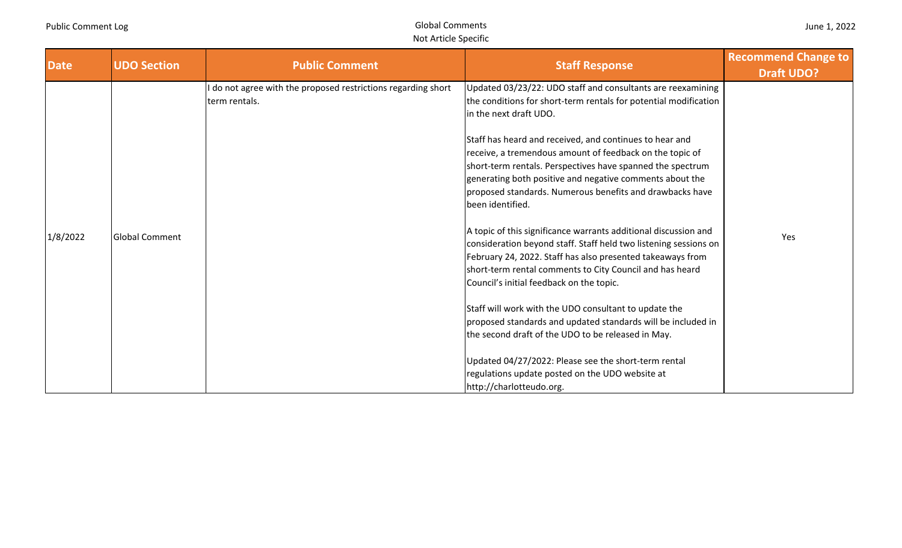| June 1, 2022 |  |  |  |
|--------------|--|--|--|
|--------------|--|--|--|

| <b>Date</b> | <b>UDO Section</b>    | <b>Public Comment</b>                                                        | <b>Staff Response</b>                                                                                                                                                                                                                                                                                                                                                                                                                                                                      | <b>Recommend Change to</b> |
|-------------|-----------------------|------------------------------------------------------------------------------|--------------------------------------------------------------------------------------------------------------------------------------------------------------------------------------------------------------------------------------------------------------------------------------------------------------------------------------------------------------------------------------------------------------------------------------------------------------------------------------------|----------------------------|
|             |                       |                                                                              |                                                                                                                                                                                                                                                                                                                                                                                                                                                                                            | <b>Draft UDO?</b>          |
|             |                       | do not agree with the proposed restrictions regarding short<br>term rentals. | Updated 03/23/22: UDO staff and consultants are reexamining<br>the conditions for short-term rentals for potential modification<br>in the next draft UDO.<br>Staff has heard and received, and continues to hear and<br>receive, a tremendous amount of feedback on the topic of<br>short-term rentals. Perspectives have spanned the spectrum<br>generating both positive and negative comments about the<br>proposed standards. Numerous benefits and drawbacks have<br>been identified. |                            |
| 1/8/2022    | <b>Global Comment</b> |                                                                              | A topic of this significance warrants additional discussion and<br>consideration beyond staff. Staff held two listening sessions on<br>February 24, 2022. Staff has also presented takeaways from<br>short-term rental comments to City Council and has heard<br>Council's initial feedback on the topic.                                                                                                                                                                                  | Yes                        |
|             |                       |                                                                              | Staff will work with the UDO consultant to update the<br>proposed standards and updated standards will be included in<br>the second draft of the UDO to be released in May.                                                                                                                                                                                                                                                                                                                |                            |
|             |                       |                                                                              | Updated 04/27/2022: Please see the short-term rental<br>regulations update posted on the UDO website at<br>http://charlotteudo.org.                                                                                                                                                                                                                                                                                                                                                        |                            |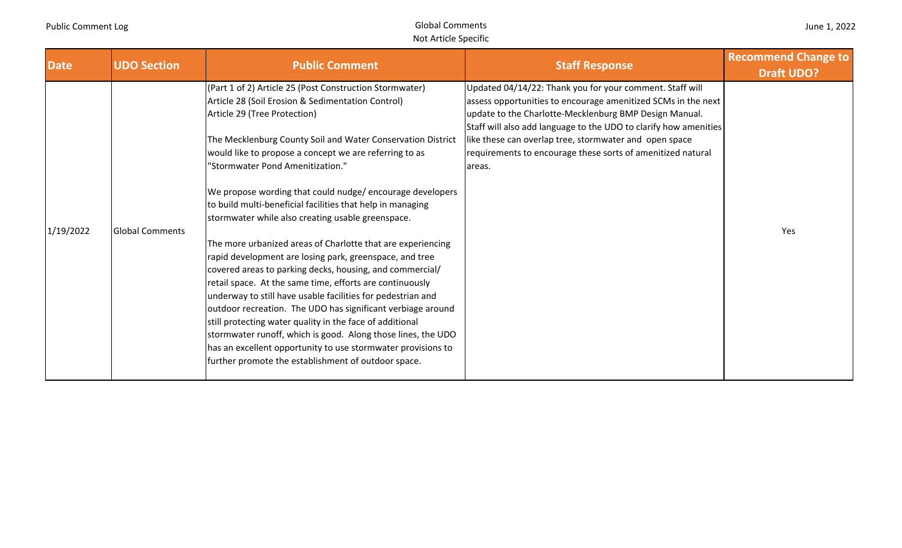| June 1, 2022 |  |  |  |
|--------------|--|--|--|
|--------------|--|--|--|

| <b>Date</b> | <b>UDO Section</b>     | <b>Public Comment</b>                                                                                                                                                                                                                                                                                                                                                                                                                                                                                                                                                                                                                                                                                                                                                                                                                                                                                                                                                                                                                                                                                                       | <b>Staff Response</b>                                                                                                                                                                                                                                                                                                                                                                      | <b>Recommend Change to</b> |
|-------------|------------------------|-----------------------------------------------------------------------------------------------------------------------------------------------------------------------------------------------------------------------------------------------------------------------------------------------------------------------------------------------------------------------------------------------------------------------------------------------------------------------------------------------------------------------------------------------------------------------------------------------------------------------------------------------------------------------------------------------------------------------------------------------------------------------------------------------------------------------------------------------------------------------------------------------------------------------------------------------------------------------------------------------------------------------------------------------------------------------------------------------------------------------------|--------------------------------------------------------------------------------------------------------------------------------------------------------------------------------------------------------------------------------------------------------------------------------------------------------------------------------------------------------------------------------------------|----------------------------|
|             |                        |                                                                                                                                                                                                                                                                                                                                                                                                                                                                                                                                                                                                                                                                                                                                                                                                                                                                                                                                                                                                                                                                                                                             |                                                                                                                                                                                                                                                                                                                                                                                            | <b>Draft UDO?</b>          |
| 1/19/2022   | <b>Global Comments</b> | (Part 1 of 2) Article 25 (Post Construction Stormwater)<br>Article 28 (Soil Erosion & Sedimentation Control)<br>Article 29 (Tree Protection)<br>The Mecklenburg County Soil and Water Conservation District<br>would like to propose a concept we are referring to as<br>"Stormwater Pond Amenitization."<br>We propose wording that could nudge/encourage developers<br>to build multi-beneficial facilities that help in managing<br>stormwater while also creating usable greenspace.<br>The more urbanized areas of Charlotte that are experiencing<br>rapid development are losing park, greenspace, and tree<br>covered areas to parking decks, housing, and commercial/<br>retail space. At the same time, efforts are continuously<br>underway to still have usable facilities for pedestrian and<br>outdoor recreation. The UDO has significant verbiage around<br>still protecting water quality in the face of additional<br>stormwater runoff, which is good. Along those lines, the UDO<br>has an excellent opportunity to use stormwater provisions to<br>further promote the establishment of outdoor space. | Updated 04/14/22: Thank you for your comment. Staff will<br>assess opportunities to encourage amenitized SCMs in the next<br>update to the Charlotte-Mecklenburg BMP Design Manual.<br>Staff will also add language to the UDO to clarify how amenities<br>like these can overlap tree, stormwater and open space<br>requirements to encourage these sorts of amenitized natural<br>areas. | Yes                        |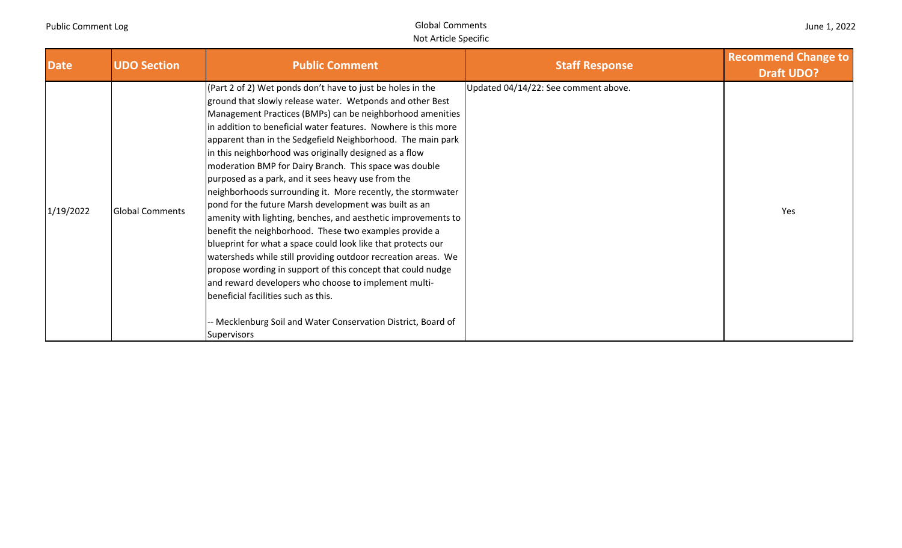| June 1, 2022 |  |  |  |
|--------------|--|--|--|
|--------------|--|--|--|

| <b>Date</b> | <b>UDO Section</b>     | <b>Public Comment</b>                                                                                                                                                                                                                                                                                                                                                                                                                                                                                                                                                                                                                                                                                                                                                                                                                                                                                                                                                                                                                                                                                                             | <b>Staff Response</b>                | <b>Recommend Change to</b><br><b>Draft UDO?</b> |
|-------------|------------------------|-----------------------------------------------------------------------------------------------------------------------------------------------------------------------------------------------------------------------------------------------------------------------------------------------------------------------------------------------------------------------------------------------------------------------------------------------------------------------------------------------------------------------------------------------------------------------------------------------------------------------------------------------------------------------------------------------------------------------------------------------------------------------------------------------------------------------------------------------------------------------------------------------------------------------------------------------------------------------------------------------------------------------------------------------------------------------------------------------------------------------------------|--------------------------------------|-------------------------------------------------|
| 1/19/2022   | <b>Global Comments</b> | (Part 2 of 2) Wet ponds don't have to just be holes in the<br>ground that slowly release water. Wetponds and other Best<br>Management Practices (BMPs) can be neighborhood amenities<br>In addition to beneficial water features. Nowhere is this more<br>apparent than in the Sedgefield Neighborhood. The main park<br>in this neighborhood was originally designed as a flow<br>moderation BMP for Dairy Branch. This space was double<br>purposed as a park, and it sees heavy use from the<br>neighborhoods surrounding it. More recently, the stormwater<br>pond for the future Marsh development was built as an<br>amenity with lighting, benches, and aesthetic improvements to<br>benefit the neighborhood. These two examples provide a<br>blueprint for what a space could look like that protects our<br>watersheds while still providing outdoor recreation areas. We<br>propose wording in support of this concept that could nudge<br>and reward developers who choose to implement multi-<br>beneficial facilities such as this.<br>-- Mecklenburg Soil and Water Conservation District, Board of<br>Supervisors | Updated 04/14/22: See comment above. | Yes                                             |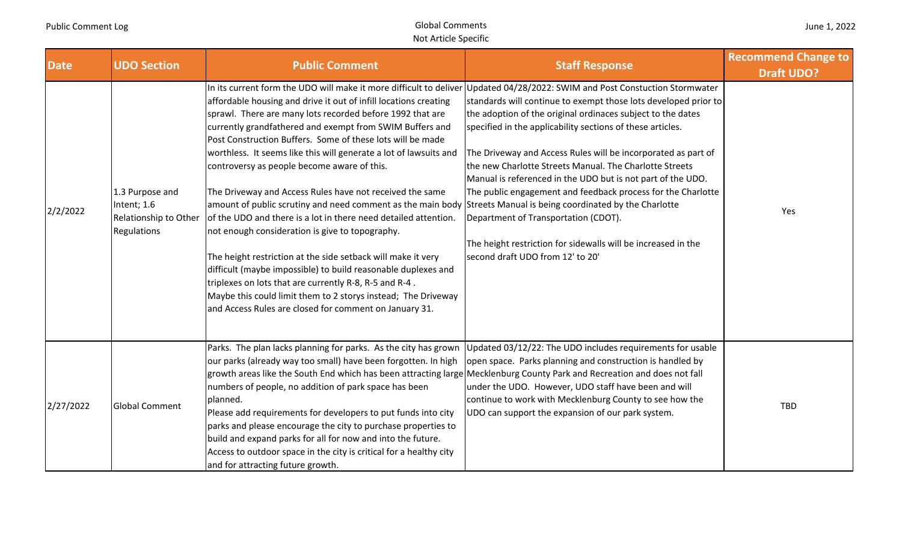| <b>Date</b> | <b>UDO Section</b>                                                     | <b>Public Comment</b>                                                                                                                                                                                                                                                                                                                                                                                                                                                                                                                                                                                                                                                                                                                                                                                                                                                                                                                                                                                                                                                                                                                  | <b>Staff Response</b>                                                                                                                                                                                                                                                                                                                                                                                                                                                                                                                                                                                | <b>Recommend Change to</b><br><b>Draft UDO?</b> |
|-------------|------------------------------------------------------------------------|----------------------------------------------------------------------------------------------------------------------------------------------------------------------------------------------------------------------------------------------------------------------------------------------------------------------------------------------------------------------------------------------------------------------------------------------------------------------------------------------------------------------------------------------------------------------------------------------------------------------------------------------------------------------------------------------------------------------------------------------------------------------------------------------------------------------------------------------------------------------------------------------------------------------------------------------------------------------------------------------------------------------------------------------------------------------------------------------------------------------------------------|------------------------------------------------------------------------------------------------------------------------------------------------------------------------------------------------------------------------------------------------------------------------------------------------------------------------------------------------------------------------------------------------------------------------------------------------------------------------------------------------------------------------------------------------------------------------------------------------------|-------------------------------------------------|
| 2/2/2022    | 1.3 Purpose and<br>Intent; 1.6<br>Relationship to Other<br>Regulations | In its current form the UDO will make it more difficult to deliver Updated 04/28/2022: SWIM and Post Constuction Stormwater<br>affordable housing and drive it out of infill locations creating<br>sprawl. There are many lots recorded before 1992 that are<br>currently grandfathered and exempt from SWIM Buffers and<br>Post Construction Buffers. Some of these lots will be made<br>worthless. It seems like this will generate a lot of lawsuits and<br>controversy as people become aware of this.<br>The Driveway and Access Rules have not received the same<br>amount of public scrutiny and need comment as the main body Streets Manual is being coordinated by the Charlotte<br>of the UDO and there is a lot in there need detailed attention.<br>not enough consideration is give to topography.<br>The height restriction at the side setback will make it very<br>difficult (maybe impossible) to build reasonable duplexes and<br>triplexes on lots that are currently R-8, R-5 and R-4.<br>Maybe this could limit them to 2 storys instead; The Driveway<br>and Access Rules are closed for comment on January 31. | standards will continue to exempt those lots developed prior to<br>the adoption of the original ordinaces subject to the dates<br>specified in the applicability sections of these articles.<br>The Driveway and Access Rules will be incorporated as part of<br>the new Charlotte Streets Manual. The Charlotte Streets<br>Manual is referenced in the UDO but is not part of the UDO.<br>The public engagement and feedback process for the Charlotte<br>Department of Transportation (CDOT).<br>The height restriction for sidewalls will be increased in the<br>second draft UDO from 12' to 20' | Yes                                             |
| 2/27/2022   | <b>Global Comment</b>                                                  | Parks. The plan lacks planning for parks. As the city has grown Updated 03/12/22: The UDO includes requirements for usable<br>our parks (already way too small) have been forgotten. In high<br>growth areas like the South End which has been attracting large Mecklenburg County Park and Recreation and does not fall<br>numbers of people, no addition of park space has been<br>planned.<br>Please add requirements for developers to put funds into city<br>parks and please encourage the city to purchase properties to<br>build and expand parks for all for now and into the future.<br>Access to outdoor space in the city is critical for a healthy city<br>and for attracting future growth.                                                                                                                                                                                                                                                                                                                                                                                                                              | open space. Parks planning and construction is handled by<br>under the UDO. However, UDO staff have been and will<br>continue to work with Mecklenburg County to see how the<br>UDO can support the expansion of our park system.                                                                                                                                                                                                                                                                                                                                                                    | <b>TBD</b>                                      |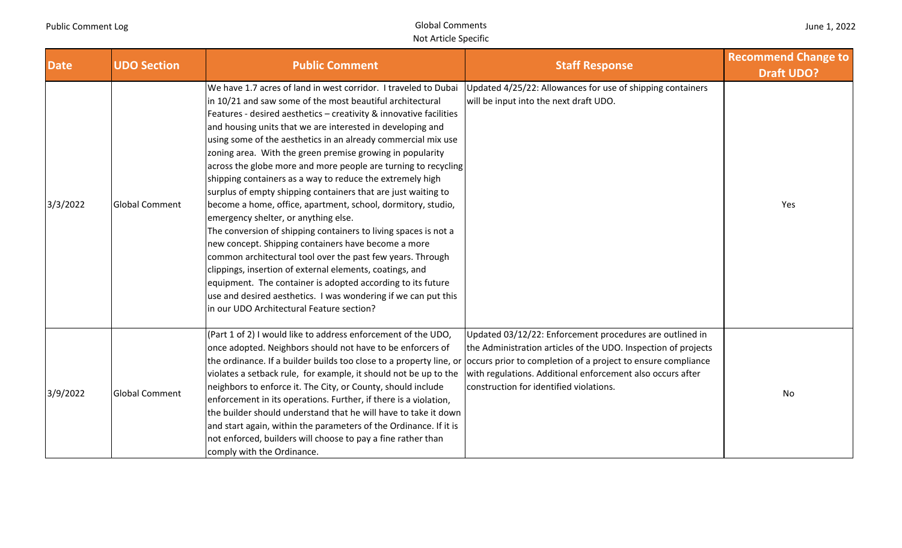| June 1, 2022 |  |  |  |  |
|--------------|--|--|--|--|
|--------------|--|--|--|--|

| <b>Date</b> | <b>UDO Section</b>    | <b>Public Comment</b>                                                                                                                                                                                                                                                                                                                                                                                                                                                                                                                                                                                                                                                                                                                                                                                                                                                                                                                                                                                                                                                                                                                    | <b>Staff Response</b>                                                                                                                                                                                                                                                                                 | <b>Recommend Change to</b><br><b>Draft UDO?</b> |
|-------------|-----------------------|------------------------------------------------------------------------------------------------------------------------------------------------------------------------------------------------------------------------------------------------------------------------------------------------------------------------------------------------------------------------------------------------------------------------------------------------------------------------------------------------------------------------------------------------------------------------------------------------------------------------------------------------------------------------------------------------------------------------------------------------------------------------------------------------------------------------------------------------------------------------------------------------------------------------------------------------------------------------------------------------------------------------------------------------------------------------------------------------------------------------------------------|-------------------------------------------------------------------------------------------------------------------------------------------------------------------------------------------------------------------------------------------------------------------------------------------------------|-------------------------------------------------|
| 3/3/2022    | <b>Global Comment</b> | We have 1.7 acres of land in west corridor. I traveled to Dubai<br>in 10/21 and saw some of the most beautiful architectural<br>Features - desired aesthetics - creativity & innovative facilities<br>and housing units that we are interested in developing and<br>using some of the aesthetics in an already commercial mix use<br>zoning area. With the green premise growing in popularity<br>across the globe more and more people are turning to recycling<br>shipping containers as a way to reduce the extremely high<br>surplus of empty shipping containers that are just waiting to<br>become a home, office, apartment, school, dormitory, studio,<br>emergency shelter, or anything else.<br>The conversion of shipping containers to living spaces is not a<br>new concept. Shipping containers have become a more<br>common architectural tool over the past few years. Through<br>clippings, insertion of external elements, coatings, and<br>equipment. The container is adopted according to its future<br>use and desired aesthetics. I was wondering if we can put this<br>in our UDO Architectural Feature section? | Updated 4/25/22: Allowances for use of shipping containers<br>will be input into the next draft UDO.                                                                                                                                                                                                  | Yes                                             |
| 3/9/2022    | <b>Global Comment</b> | (Part 1 of 2) I would like to address enforcement of the UDO,<br>once adopted. Neighbors should not have to be enforcers of<br>the ordinance. If a builder builds too close to a property line, or<br>violates a setback rule, for example, it should not be up to the<br>neighbors to enforce it. The City, or County, should include<br>enforcement in its operations. Further, if there is a violation,<br>the builder should understand that he will have to take it down<br>and start again, within the parameters of the Ordinance. If it is<br>not enforced, builders will choose to pay a fine rather than<br>comply with the Ordinance.                                                                                                                                                                                                                                                                                                                                                                                                                                                                                         | Updated 03/12/22: Enforcement procedures are outlined in<br>the Administration articles of the UDO. Inspection of projects<br>cloccurs prior to completion of a project to ensure compliance<br>with regulations. Additional enforcement also occurs after<br>construction for identified violations. | No                                              |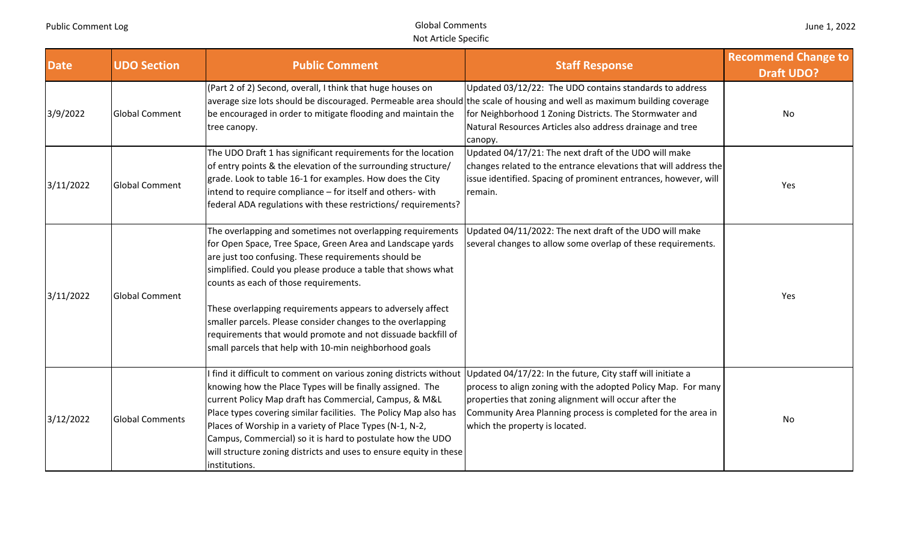| <b>Date</b> | <b>UDO Section</b>     | <b>Public Comment</b>                                                                                                                                                                                                                                                                                                                                                                                                                                                                                                                            | <b>Staff Response</b>                                                                                                                                                                                                    | <b>Recommend Change to</b><br><b>Draft UDO?</b> |
|-------------|------------------------|--------------------------------------------------------------------------------------------------------------------------------------------------------------------------------------------------------------------------------------------------------------------------------------------------------------------------------------------------------------------------------------------------------------------------------------------------------------------------------------------------------------------------------------------------|--------------------------------------------------------------------------------------------------------------------------------------------------------------------------------------------------------------------------|-------------------------------------------------|
| 3/9/2022    | <b>Global Comment</b>  | (Part 2 of 2) Second, overall, I think that huge houses on<br>average size lots should be discouraged. Permeable area should the scale of housing and well as maximum building coverage<br>be encouraged in order to mitigate flooding and maintain the<br>tree canopy.                                                                                                                                                                                                                                                                          | Updated 03/12/22: The UDO contains standards to address<br>for Neighborhood 1 Zoning Districts. The Stormwater and<br>Natural Resources Articles also address drainage and tree<br>canopy.                               | No                                              |
| 3/11/2022   | <b>Global Comment</b>  | The UDO Draft 1 has significant requirements for the location<br>of entry points & the elevation of the surrounding structure/<br>grade. Look to table 16-1 for examples. How does the City<br>intend to require compliance - for itself and others- with<br>federal ADA regulations with these restrictions/ requirements?                                                                                                                                                                                                                      | Updated 04/17/21: The next draft of the UDO will make<br>changes related to the entrance elevations that will address the<br>issue identified. Spacing of prominent entrances, however, will<br>remain.                  | Yes                                             |
| 3/11/2022   | <b>Global Comment</b>  | The overlapping and sometimes not overlapping requirements<br>for Open Space, Tree Space, Green Area and Landscape yards<br>are just too confusing. These requirements should be<br>simplified. Could you please produce a table that shows what<br>counts as each of those requirements.<br>These overlapping requirements appears to adversely affect<br>smaller parcels. Please consider changes to the overlapping<br>requirements that would promote and not dissuade backfill of<br>small parcels that help with 10-min neighborhood goals | Updated 04/11/2022: The next draft of the UDO will make<br>several changes to allow some overlap of these requirements.                                                                                                  | Yes                                             |
| 3/12/2022   | <b>Global Comments</b> | find it difficult to comment on various zoning districts without Updated 04/17/22: In the future, City staff will initiate a<br>knowing how the Place Types will be finally assigned. The<br>current Policy Map draft has Commercial, Campus, & M&L<br>Place types covering similar facilities. The Policy Map also has<br>Places of Worship in a variety of Place Types (N-1, N-2,<br>Campus, Commercial) so it is hard to postulate how the UDO<br>will structure zoning districts and uses to ensure equity in these<br>institutions.         | process to align zoning with the adopted Policy Map. For many<br>properties that zoning alignment will occur after the<br>Community Area Planning process is completed for the area in<br>which the property is located. | No                                              |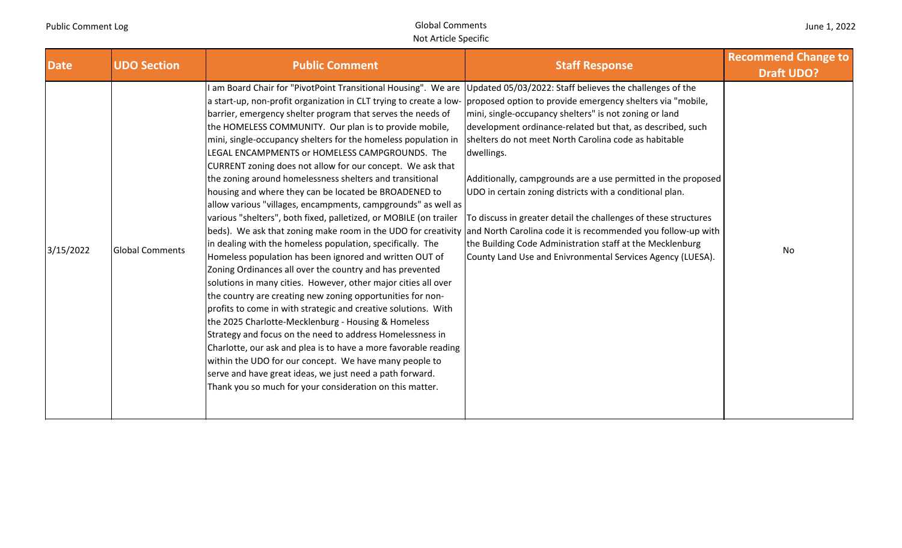| June 1, 2022 |  |  |  |  |
|--------------|--|--|--|--|
|--------------|--|--|--|--|

| <b>Date</b> | <b>UDO Section</b>     | <b>Public Comment</b>                                                                                                                                                                                                                                                                                                                                                                                                                                                                                                                                                                                                                                                                                                                                                                                                                                                                                                                                                                                                                                                                                                                                                                                                                                                                                                                                                                                                                                                                                                                                                                                                                                           | <b>Staff Response</b>                                                                                                                                                                                                                                                                                                                                                                                                                                                                                                                                                                | <b>Recommend Change to</b><br><b>Draft UDO?</b> |
|-------------|------------------------|-----------------------------------------------------------------------------------------------------------------------------------------------------------------------------------------------------------------------------------------------------------------------------------------------------------------------------------------------------------------------------------------------------------------------------------------------------------------------------------------------------------------------------------------------------------------------------------------------------------------------------------------------------------------------------------------------------------------------------------------------------------------------------------------------------------------------------------------------------------------------------------------------------------------------------------------------------------------------------------------------------------------------------------------------------------------------------------------------------------------------------------------------------------------------------------------------------------------------------------------------------------------------------------------------------------------------------------------------------------------------------------------------------------------------------------------------------------------------------------------------------------------------------------------------------------------------------------------------------------------------------------------------------------------|--------------------------------------------------------------------------------------------------------------------------------------------------------------------------------------------------------------------------------------------------------------------------------------------------------------------------------------------------------------------------------------------------------------------------------------------------------------------------------------------------------------------------------------------------------------------------------------|-------------------------------------------------|
| 3/15/2022   | <b>Global Comments</b> | am Board Chair for "PivotPoint Transitional Housing". We are Updated 05/03/2022: Staff believes the challenges of the<br>a start-up, non-profit organization in CLT trying to create a low-<br>barrier, emergency shelter program that serves the needs of<br>the HOMELESS COMMUNITY. Our plan is to provide mobile,<br>mini, single-occupancy shelters for the homeless population in<br>LEGAL ENCAMPMENTS or HOMELESS CAMPGROUNDS. The<br>CURRENT zoning does not allow for our concept. We ask that<br>the zoning around homelessness shelters and transitional<br>housing and where they can be located be BROADENED to<br>allow various "villages, encampments, campgrounds" as well as<br>various "shelters", both fixed, palletized, or MOBILE (on trailer<br>beds). We ask that zoning make room in the UDO for creativity and North Carolina code it is recommended you follow-up with<br>in dealing with the homeless population, specifically. The<br>Homeless population has been ignored and written OUT of<br>Zoning Ordinances all over the country and has prevented<br>solutions in many cities. However, other major cities all over<br>the country are creating new zoning opportunities for non-<br>profits to come in with strategic and creative solutions. With<br>the 2025 Charlotte-Mecklenburg - Housing & Homeless<br>Strategy and focus on the need to address Homelessness in<br>Charlotte, our ask and plea is to have a more favorable reading<br>within the UDO for our concept. We have many people to<br>serve and have great ideas, we just need a path forward.<br>Thank you so much for your consideration on this matter. | proposed option to provide emergency shelters via "mobile,<br>mini, single-occupancy shelters" is not zoning or land<br>development ordinance-related but that, as described, such<br>shelters do not meet North Carolina code as habitable<br>dwellings.<br>Additionally, campgrounds are a use permitted in the proposed<br>UDO in certain zoning districts with a conditional plan.<br>To discuss in greater detail the challenges of these structures<br>the Building Code Administration staff at the Mecklenburg<br>County Land Use and Enivronmental Services Agency (LUESA). | No                                              |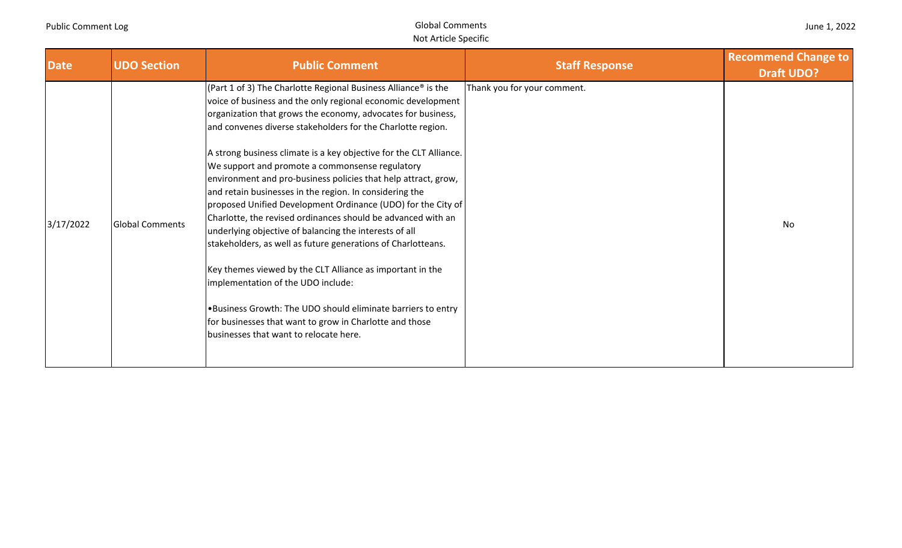| June 1, 2022 |  |  |  |
|--------------|--|--|--|
|--------------|--|--|--|

| <b>Date</b> | <b>UDO Section</b>     | <b>Public Comment</b>                                                                                                                                                                                                                                                                                                                                                                                                                                                                                                                                                                                                                                                                                                                                                                                                                                                                                                                                                                                                                                             | <b>Staff Response</b>       | <b>Recommend Change to</b><br><b>Draft UDO?</b> |
|-------------|------------------------|-------------------------------------------------------------------------------------------------------------------------------------------------------------------------------------------------------------------------------------------------------------------------------------------------------------------------------------------------------------------------------------------------------------------------------------------------------------------------------------------------------------------------------------------------------------------------------------------------------------------------------------------------------------------------------------------------------------------------------------------------------------------------------------------------------------------------------------------------------------------------------------------------------------------------------------------------------------------------------------------------------------------------------------------------------------------|-----------------------------|-------------------------------------------------|
| 3/17/2022   | <b>Global Comments</b> | (Part 1 of 3) The Charlotte Regional Business Alliance <sup>®</sup> is the<br>voice of business and the only regional economic development<br>organization that grows the economy, advocates for business,<br>and convenes diverse stakeholders for the Charlotte region.<br>A strong business climate is a key objective for the CLT Alliance.<br>We support and promote a commonsense regulatory<br>environment and pro-business policies that help attract, grow,<br>and retain businesses in the region. In considering the<br>proposed Unified Development Ordinance (UDO) for the City of<br>Charlotte, the revised ordinances should be advanced with an<br>underlying objective of balancing the interests of all<br>stakeholders, as well as future generations of Charlotteans.<br>Key themes viewed by the CLT Alliance as important in the<br>implementation of the UDO include:<br>.Business Growth: The UDO should eliminate barriers to entry<br>for businesses that want to grow in Charlotte and those<br>businesses that want to relocate here. | Thank you for your comment. | No                                              |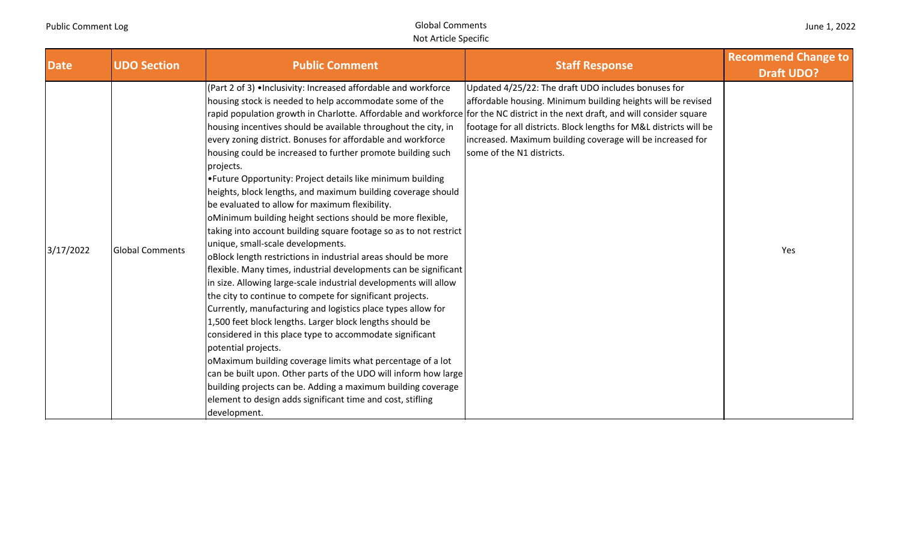| June 1, 2022 |  |  |  |  |
|--------------|--|--|--|--|
|--------------|--|--|--|--|

| <b>Date</b> | <b>UDO Section</b>     | <b>Public Comment</b>                                                                                                                                                                                                                                                                                                                                                                                                                                                                                                                                                                                                                                                                                                                                                                                                                                                                                                                                                                                                                                                                                                                                                                                                                                                                                                                                                                                                                                                                                                                                                                                  | <b>Staff Response</b>                                                                                                                                                                                                                                                                | <b>Recommend Change to</b><br><b>Draft UDO?</b> |
|-------------|------------------------|--------------------------------------------------------------------------------------------------------------------------------------------------------------------------------------------------------------------------------------------------------------------------------------------------------------------------------------------------------------------------------------------------------------------------------------------------------------------------------------------------------------------------------------------------------------------------------------------------------------------------------------------------------------------------------------------------------------------------------------------------------------------------------------------------------------------------------------------------------------------------------------------------------------------------------------------------------------------------------------------------------------------------------------------------------------------------------------------------------------------------------------------------------------------------------------------------------------------------------------------------------------------------------------------------------------------------------------------------------------------------------------------------------------------------------------------------------------------------------------------------------------------------------------------------------------------------------------------------------|--------------------------------------------------------------------------------------------------------------------------------------------------------------------------------------------------------------------------------------------------------------------------------------|-------------------------------------------------|
| 3/17/2022   | <b>Global Comments</b> | (Part 2 of 3) . Inclusivity: Increased affordable and workforce<br>housing stock is needed to help accommodate some of the<br>rapid population growth in Charlotte. Affordable and workforce for the NC district in the next draft, and will consider square<br>housing incentives should be available throughout the city, in<br>every zoning district. Bonuses for affordable and workforce<br>housing could be increased to further promote building such<br>projects.<br>• Future Opportunity: Project details like minimum building<br>heights, block lengths, and maximum building coverage should<br>be evaluated to allow for maximum flexibility.<br>oMinimum building height sections should be more flexible,<br>taking into account building square footage so as to not restrict<br>unique, small-scale developments.<br>oBlock length restrictions in industrial areas should be more<br>flexible. Many times, industrial developments can be significant<br>in size. Allowing large-scale industrial developments will allow<br>the city to continue to compete for significant projects.<br>Currently, manufacturing and logistics place types allow for<br>1,500 feet block lengths. Larger block lengths should be<br>considered in this place type to accommodate significant<br>potential projects.<br>oMaximum building coverage limits what percentage of a lot<br>can be built upon. Other parts of the UDO will inform how large<br>building projects can be. Adding a maximum building coverage<br>element to design adds significant time and cost, stifling<br>development. | Updated 4/25/22: The draft UDO includes bonuses for<br>affordable housing. Minimum building heights will be revised<br>footage for all districts. Block lengths for M&L districts will be<br>increased. Maximum building coverage will be increased for<br>some of the N1 districts. | Yes                                             |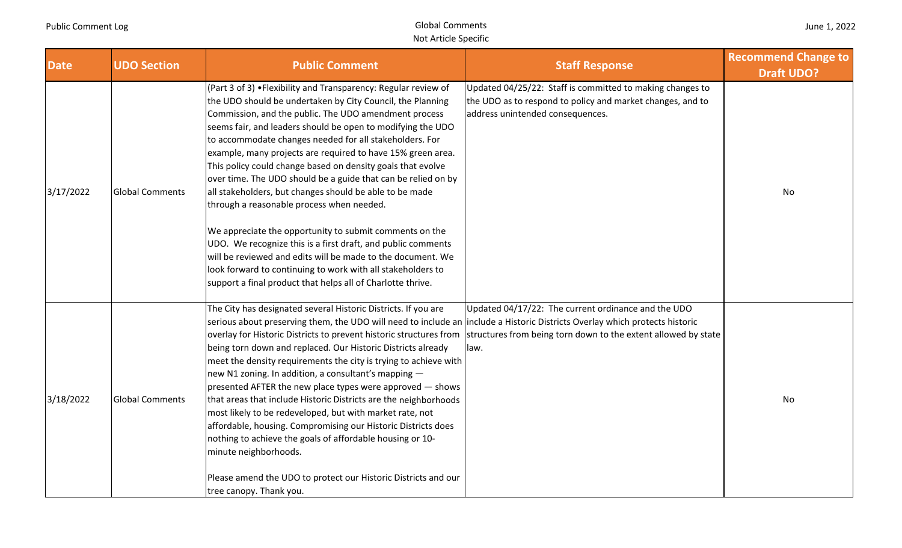|  | June 1, 2022 |
|--|--------------|
|--|--------------|

| <b>Date</b> | <b>UDO Section</b>     | <b>Public Comment</b>                                                                                                                                                                                                                                                                                                                                                                                                                                                                                                                                                                                                                                                                                                                                                                                                                                                                                                                                                           | <b>Staff Response</b>                                                                                                                                       | <b>Recommend Change to</b><br><b>Draft UDO?</b> |
|-------------|------------------------|---------------------------------------------------------------------------------------------------------------------------------------------------------------------------------------------------------------------------------------------------------------------------------------------------------------------------------------------------------------------------------------------------------------------------------------------------------------------------------------------------------------------------------------------------------------------------------------------------------------------------------------------------------------------------------------------------------------------------------------------------------------------------------------------------------------------------------------------------------------------------------------------------------------------------------------------------------------------------------|-------------------------------------------------------------------------------------------------------------------------------------------------------------|-------------------------------------------------|
| 3/17/2022   | <b>Global Comments</b> | (Part 3 of 3) . Flexibility and Transparency: Regular review of<br>the UDO should be undertaken by City Council, the Planning<br>Commission, and the public. The UDO amendment process<br>seems fair, and leaders should be open to modifying the UDO<br>to accommodate changes needed for all stakeholders. For<br>example, many projects are required to have 15% green area.<br>This policy could change based on density goals that evolve<br>over time. The UDO should be a guide that can be relied on by<br>all stakeholders, but changes should be able to be made<br>through a reasonable process when needed.<br>We appreciate the opportunity to submit comments on the<br>UDO. We recognize this is a first draft, and public comments<br>will be reviewed and edits will be made to the document. We<br>look forward to continuing to work with all stakeholders to<br>support a final product that helps all of Charlotte thrive.                                 | Updated 04/25/22: Staff is committed to making changes to<br>the UDO as to respond to policy and market changes, and to<br>address unintended consequences. | No                                              |
| 3/18/2022   | <b>Global Comments</b> | The City has designated several Historic Districts. If you are<br>serious about preserving them, the UDO will need to include an include a Historic Districts Overlay which protects historic<br>overlay for Historic Districts to prevent historic structures from structures from being torn down to the extent allowed by state<br>being torn down and replaced. Our Historic Districts already<br>meet the density requirements the city is trying to achieve with<br>new N1 zoning. In addition, a consultant's mapping -<br>presented AFTER the new place types were approved – shows<br>that areas that include Historic Districts are the neighborhoods<br>most likely to be redeveloped, but with market rate, not<br>affordable, housing. Compromising our Historic Districts does<br>nothing to achieve the goals of affordable housing or 10-<br>minute neighborhoods.<br>Please amend the UDO to protect our Historic Districts and our<br>tree canopy. Thank you. | Updated 04/17/22: The current ordinance and the UDO<br>llaw.                                                                                                | No                                              |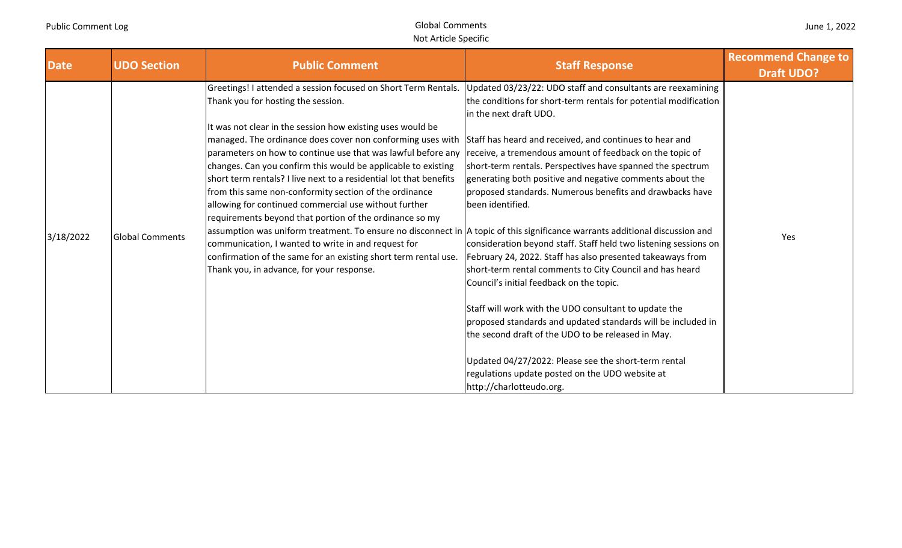| <b>Date</b> | <b>UDO Section</b>     | <b>Public Comment</b>                                                                                                                                                                                                                                                                                                                                                                                                                                                                                                                                                                                                                                                                                                                                                                                                                                                                                                                                                                  | <b>Staff Response</b>                                                                                                                                                                                                                                                                                                                                                                                                                                                                                                                                                                                                                                                                                                                                                                                                                                                                                                                                                                          | <b>Recommend Change to</b><br><b>Draft UDO?</b> |
|-------------|------------------------|----------------------------------------------------------------------------------------------------------------------------------------------------------------------------------------------------------------------------------------------------------------------------------------------------------------------------------------------------------------------------------------------------------------------------------------------------------------------------------------------------------------------------------------------------------------------------------------------------------------------------------------------------------------------------------------------------------------------------------------------------------------------------------------------------------------------------------------------------------------------------------------------------------------------------------------------------------------------------------------|------------------------------------------------------------------------------------------------------------------------------------------------------------------------------------------------------------------------------------------------------------------------------------------------------------------------------------------------------------------------------------------------------------------------------------------------------------------------------------------------------------------------------------------------------------------------------------------------------------------------------------------------------------------------------------------------------------------------------------------------------------------------------------------------------------------------------------------------------------------------------------------------------------------------------------------------------------------------------------------------|-------------------------------------------------|
| 3/18/2022   | <b>Global Comments</b> | Greetings! I attended a session focused on Short Term Rentals.<br>Thank you for hosting the session.<br>It was not clear in the session how existing uses would be<br>managed. The ordinance does cover non conforming uses with<br>parameters on how to continue use that was lawful before any receive, a tremendous amount of feedback on the topic of<br>changes. Can you confirm this would be applicable to existing<br>short term rentals? I live next to a residential lot that benefits<br>from this same non-conformity section of the ordinance<br>allowing for continued commercial use without further<br>requirements beyond that portion of the ordinance so my<br>assumption was uniform treatment. To ensure no disconnect in  A topic of this significance warrants additional discussion and<br>communication, I wanted to write in and request for<br>confirmation of the same for an existing short term rental use.<br>Thank you, in advance, for your response. | Updated 03/23/22: UDO staff and consultants are reexamining<br>the conditions for short-term rentals for potential modification<br>in the next draft UDO.<br>Staff has heard and received, and continues to hear and<br>short-term rentals. Perspectives have spanned the spectrum<br>generating both positive and negative comments about the<br>proposed standards. Numerous benefits and drawbacks have<br>been identified.<br>consideration beyond staff. Staff held two listening sessions on<br>February 24, 2022. Staff has also presented takeaways from<br>short-term rental comments to City Council and has heard<br>Council's initial feedback on the topic.<br>Staff will work with the UDO consultant to update the<br>proposed standards and updated standards will be included in<br>the second draft of the UDO to be released in May.<br>Updated 04/27/2022: Please see the short-term rental<br>regulations update posted on the UDO website at<br>http://charlotteudo.org. | Yes                                             |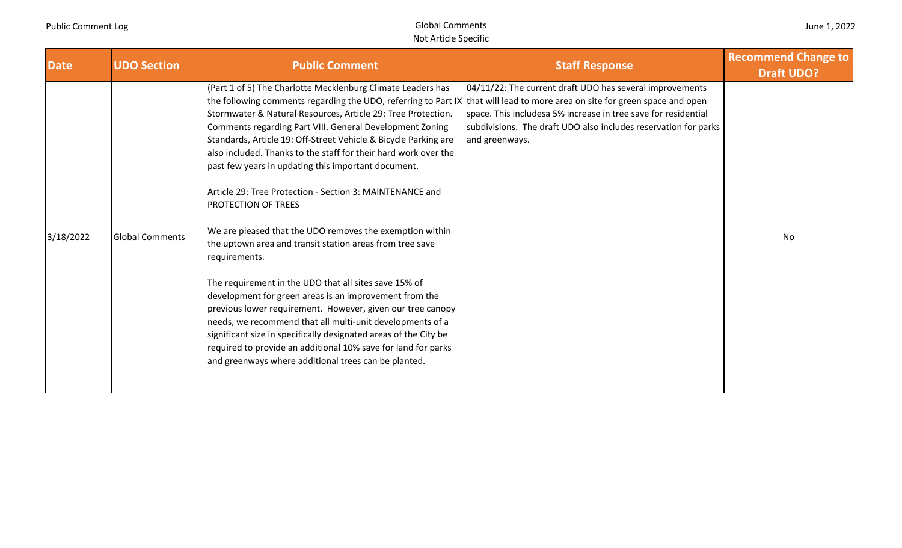| June 1, 2022 |  |  |  |
|--------------|--|--|--|
|--------------|--|--|--|

| <b>Date</b> | <b>UDO Section</b>     | <b>Public Comment</b>                                                                                                                                                                                                                                                                                                                                                                                                                                                                                                                                                                                                                                                                                                                                                                                                                                                                                                                                                                                                                                                                                                                                                                             | <b>Staff Response</b>                                                                                                                                                                                           | <b>Recommend Change to</b><br><b>Draft UDO?</b> |
|-------------|------------------------|---------------------------------------------------------------------------------------------------------------------------------------------------------------------------------------------------------------------------------------------------------------------------------------------------------------------------------------------------------------------------------------------------------------------------------------------------------------------------------------------------------------------------------------------------------------------------------------------------------------------------------------------------------------------------------------------------------------------------------------------------------------------------------------------------------------------------------------------------------------------------------------------------------------------------------------------------------------------------------------------------------------------------------------------------------------------------------------------------------------------------------------------------------------------------------------------------|-----------------------------------------------------------------------------------------------------------------------------------------------------------------------------------------------------------------|-------------------------------------------------|
| 3/18/2022   | <b>Global Comments</b> | (Part 1 of 5) The Charlotte Mecklenburg Climate Leaders has<br>the following comments regarding the UDO, referring to Part IX that will lead to more area on site for green space and open<br>Stormwater & Natural Resources, Article 29: Tree Protection.<br>Comments regarding Part VIII. General Development Zoning<br>Standards, Article 19: Off-Street Vehicle & Bicycle Parking are<br>also included. Thanks to the staff for their hard work over the<br>past few years in updating this important document.<br>Article 29: Tree Protection - Section 3: MAINTENANCE and<br><b>PROTECTION OF TREES</b><br>We are pleased that the UDO removes the exemption within<br>the uptown area and transit station areas from tree save<br>requirements.<br>The requirement in the UDO that all sites save 15% of<br>development for green areas is an improvement from the<br>previous lower requirement. However, given our tree canopy<br>needs, we recommend that all multi-unit developments of a<br>significant size in specifically designated areas of the City be<br>required to provide an additional 10% save for land for parks<br>and greenways where additional trees can be planted. | 04/11/22: The current draft UDO has several improvements<br>space. This includesa 5% increase in tree save for residential<br>subdivisions. The draft UDO also includes reservation for parks<br>and greenways. | No                                              |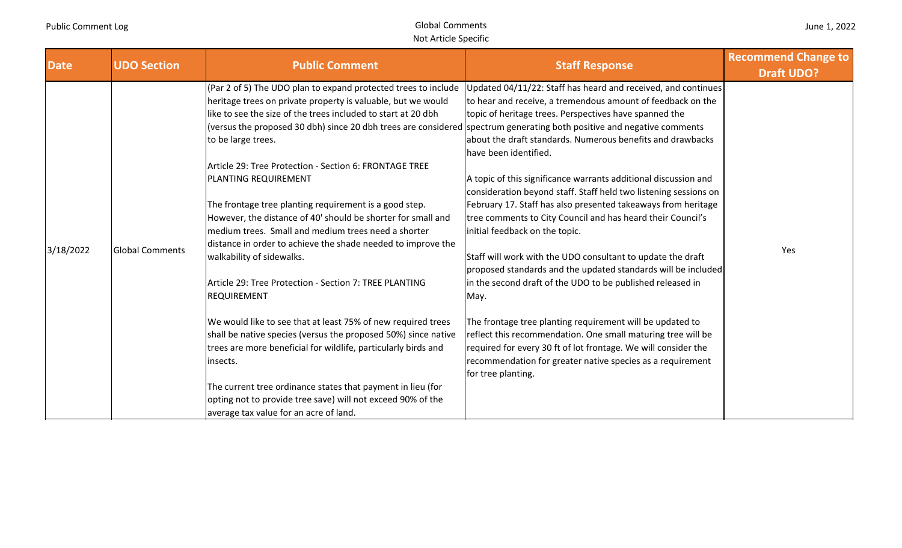| <b>Date</b> | <b>UDO Section</b>     | <b>Public Comment</b>                                                                                                                                                                                                                                                                                                                                                                                                                                                                                                                                                                                                                                                                                                                                                                                                                                                                                                                                                                                                                                                                                                 | <b>Staff Response</b>                                                                                                                                                                                                                                                                                                                                                                                                                                                                                                                                                                                                                                                                                                                                                                                                                                                                                                                                                                                                                                                                                                                          | <b>Recommend Change to</b><br><b>Draft UDO?</b> |
|-------------|------------------------|-----------------------------------------------------------------------------------------------------------------------------------------------------------------------------------------------------------------------------------------------------------------------------------------------------------------------------------------------------------------------------------------------------------------------------------------------------------------------------------------------------------------------------------------------------------------------------------------------------------------------------------------------------------------------------------------------------------------------------------------------------------------------------------------------------------------------------------------------------------------------------------------------------------------------------------------------------------------------------------------------------------------------------------------------------------------------------------------------------------------------|------------------------------------------------------------------------------------------------------------------------------------------------------------------------------------------------------------------------------------------------------------------------------------------------------------------------------------------------------------------------------------------------------------------------------------------------------------------------------------------------------------------------------------------------------------------------------------------------------------------------------------------------------------------------------------------------------------------------------------------------------------------------------------------------------------------------------------------------------------------------------------------------------------------------------------------------------------------------------------------------------------------------------------------------------------------------------------------------------------------------------------------------|-------------------------------------------------|
| 3/18/2022   | <b>Global Comments</b> | heritage trees on private property is valuable, but we would<br>like to see the size of the trees included to start at 20 dbh<br>(versus the proposed 30 dbh) since 20 dbh trees are considered spectrum generating both positive and negative comments<br>to be large trees.<br>Article 29: Tree Protection - Section 6: FRONTAGE TREE<br>PLANTING REQUIREMENT<br>The frontage tree planting requirement is a good step.<br>However, the distance of 40' should be shorter for small and<br>medium trees. Small and medium trees need a shorter<br>distance in order to achieve the shade needed to improve the<br>walkability of sidewalks.<br>Article 29: Tree Protection - Section 7: TREE PLANTING<br><b>REQUIREMENT</b><br>We would like to see that at least 75% of new required trees<br>shall be native species (versus the proposed 50%) since native<br>trees are more beneficial for wildlife, particularly birds and<br>insects.<br>The current tree ordinance states that payment in lieu (for<br>opting not to provide tree save) will not exceed 90% of the<br>average tax value for an acre of land. | (Par 2 of 5) The UDO plan to expand protected trees to include Updated 04/11/22: Staff has heard and received, and continues<br>to hear and receive, a tremendous amount of feedback on the<br>topic of heritage trees. Perspectives have spanned the<br>about the draft standards. Numerous benefits and drawbacks<br>have been identified.<br>A topic of this significance warrants additional discussion and<br>consideration beyond staff. Staff held two listening sessions on<br>February 17. Staff has also presented takeaways from heritage<br>tree comments to City Council and has heard their Council's<br>initial feedback on the topic.<br>Staff will work with the UDO consultant to update the draft<br>proposed standards and the updated standards will be included<br>in the second draft of the UDO to be published released in<br>May.<br>The frontage tree planting requirement will be updated to<br>reflect this recommendation. One small maturing tree will be<br>required for every 30 ft of lot frontage. We will consider the<br>recommendation for greater native species as a requirement<br>for tree planting. | Yes                                             |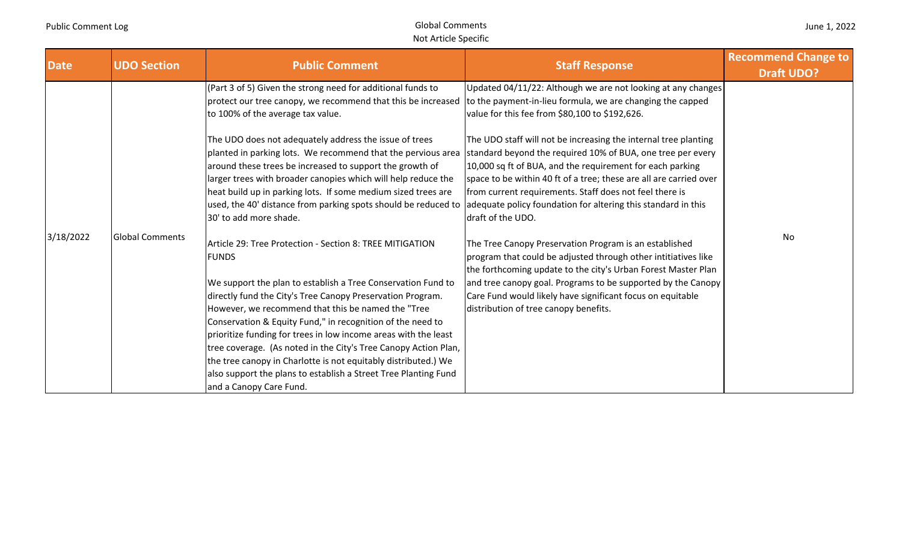| <b>Date</b> | <b>UDO Section</b>     | <b>Public Comment</b>                                                                                                                                                                                                                                                                                                                                                                                                                                                                                                                                                                                                                                                                                                                                                                                                                                                                                                                                                                                                                                                                                                  | <b>Staff Response</b>                                                                                                                                                                                                                                                                                                                                                                                                                                                                                                                                                                                                                                                                                                                                                                                                                                                                                 | <b>Recommend Change to</b><br><b>Draft UDO?</b> |
|-------------|------------------------|------------------------------------------------------------------------------------------------------------------------------------------------------------------------------------------------------------------------------------------------------------------------------------------------------------------------------------------------------------------------------------------------------------------------------------------------------------------------------------------------------------------------------------------------------------------------------------------------------------------------------------------------------------------------------------------------------------------------------------------------------------------------------------------------------------------------------------------------------------------------------------------------------------------------------------------------------------------------------------------------------------------------------------------------------------------------------------------------------------------------|-------------------------------------------------------------------------------------------------------------------------------------------------------------------------------------------------------------------------------------------------------------------------------------------------------------------------------------------------------------------------------------------------------------------------------------------------------------------------------------------------------------------------------------------------------------------------------------------------------------------------------------------------------------------------------------------------------------------------------------------------------------------------------------------------------------------------------------------------------------------------------------------------------|-------------------------------------------------|
| 3/18/2022   | <b>Global Comments</b> | (Part 3 of 5) Given the strong need for additional funds to<br>protect our tree canopy, we recommend that this be increased<br>to 100% of the average tax value.<br>The UDO does not adequately address the issue of trees<br>planted in parking lots. We recommend that the pervious area<br>around these trees be increased to support the growth of<br>larger trees with broader canopies which will help reduce the<br>heat build up in parking lots. If some medium sized trees are<br>used, the 40' distance from parking spots should be reduced to adequate policy foundation for altering this standard in this<br>30' to add more shade.<br>Article 29: Tree Protection - Section 8: TREE MITIGATION<br><b>FUNDS</b><br>We support the plan to establish a Tree Conservation Fund to<br>directly fund the City's Tree Canopy Preservation Program.<br>However, we recommend that this be named the "Tree<br>Conservation & Equity Fund," in recognition of the need to<br>prioritize funding for trees in low income areas with the least<br>tree coverage. (As noted in the City's Tree Canopy Action Plan, | Updated 04/11/22: Although we are not looking at any changes<br>to the payment-in-lieu formula, we are changing the capped<br>value for this fee from \$80,100 to \$192,626.<br>The UDO staff will not be increasing the internal tree planting<br>standard beyond the required 10% of BUA, one tree per every<br>10,000 sq ft of BUA, and the requirement for each parking<br>space to be within 40 ft of a tree; these are all are carried over<br>from current requirements. Staff does not feel there is<br>draft of the UDO.<br>The Tree Canopy Preservation Program is an established<br>program that could be adjusted through other intitiatives like<br>the forthcoming update to the city's Urban Forest Master Plan<br>and tree canopy goal. Programs to be supported by the Canopy<br>Care Fund would likely have significant focus on equitable<br>distribution of tree canopy benefits. | No                                              |
|             |                        | the tree canopy in Charlotte is not equitably distributed.) We<br>also support the plans to establish a Street Tree Planting Fund<br>and a Canopy Care Fund.                                                                                                                                                                                                                                                                                                                                                                                                                                                                                                                                                                                                                                                                                                                                                                                                                                                                                                                                                           |                                                                                                                                                                                                                                                                                                                                                                                                                                                                                                                                                                                                                                                                                                                                                                                                                                                                                                       |                                                 |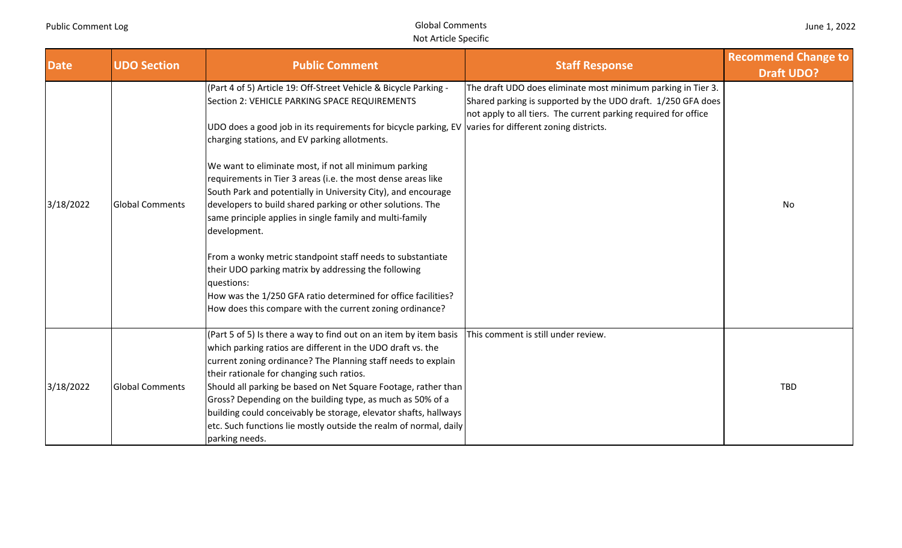| <b>Date</b> | <b>UDO Section</b>     | <b>Public Comment</b>                                                                                                                                                                                                                                                                                                                                                                                                                                                                                                                                                                                                                                                                                                                                                                                                                                                             | <b>Staff Response</b>                                                                                                                                                                           | <b>Recommend Change to</b><br><b>Draft UDO?</b> |
|-------------|------------------------|-----------------------------------------------------------------------------------------------------------------------------------------------------------------------------------------------------------------------------------------------------------------------------------------------------------------------------------------------------------------------------------------------------------------------------------------------------------------------------------------------------------------------------------------------------------------------------------------------------------------------------------------------------------------------------------------------------------------------------------------------------------------------------------------------------------------------------------------------------------------------------------|-------------------------------------------------------------------------------------------------------------------------------------------------------------------------------------------------|-------------------------------------------------|
| 3/18/2022   | <b>Global Comments</b> | (Part 4 of 5) Article 19: Off-Street Vehicle & Bicycle Parking -<br>Section 2: VEHICLE PARKING SPACE REQUIREMENTS<br>UDO does a good job in its requirements for bicycle parking, EV varies for different zoning districts.<br>charging stations, and EV parking allotments.<br>We want to eliminate most, if not all minimum parking<br>requirements in Tier 3 areas (i.e. the most dense areas like<br>South Park and potentially in University City), and encourage<br>developers to build shared parking or other solutions. The<br>same principle applies in single family and multi-family<br>development.<br>From a wonky metric standpoint staff needs to substantiate<br>their UDO parking matrix by addressing the following<br>questions:<br>How was the 1/250 GFA ratio determined for office facilities?<br>How does this compare with the current zoning ordinance? | The draft UDO does eliminate most minimum parking in Tier 3.<br>Shared parking is supported by the UDO draft. 1/250 GFA does<br>not apply to all tiers. The current parking required for office | No                                              |
| 3/18/2022   | <b>Global Comments</b> | (Part 5 of 5) Is there a way to find out on an item by item basis<br>which parking ratios are different in the UDO draft vs. the<br>current zoning ordinance? The Planning staff needs to explain<br>their rationale for changing such ratios.<br>Should all parking be based on Net Square Footage, rather than<br>Gross? Depending on the building type, as much as 50% of a<br>building could conceivably be storage, elevator shafts, hallways<br>etc. Such functions lie mostly outside the realm of normal, daily<br>parking needs.                                                                                                                                                                                                                                                                                                                                         | This comment is still under review.                                                                                                                                                             | <b>TBD</b>                                      |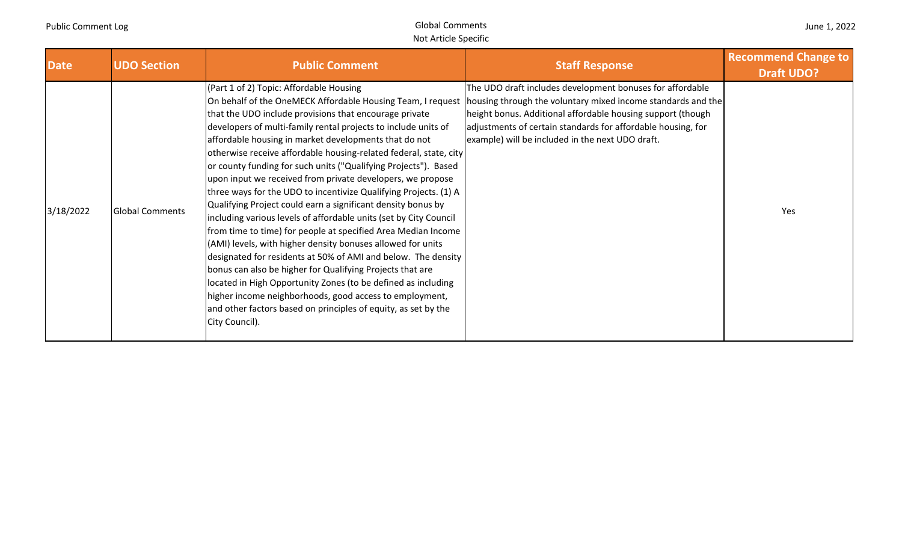| June 1, 2022 |  |  |  |
|--------------|--|--|--|
|--------------|--|--|--|

| <b>Date</b> | <b>UDO Section</b>     | <b>Public Comment</b>                                                                                                                                                                                                                                                                                                                                                                                                                                                                                                                                                                                                                                                                                                                                                                                                                                                                                                                                                                                                                                                                                                                                                                    | <b>Staff Response</b>                                                                                                                                                                                                                                                                                        | <b>Recommend Change to</b><br><b>Draft UDO?</b> |
|-------------|------------------------|------------------------------------------------------------------------------------------------------------------------------------------------------------------------------------------------------------------------------------------------------------------------------------------------------------------------------------------------------------------------------------------------------------------------------------------------------------------------------------------------------------------------------------------------------------------------------------------------------------------------------------------------------------------------------------------------------------------------------------------------------------------------------------------------------------------------------------------------------------------------------------------------------------------------------------------------------------------------------------------------------------------------------------------------------------------------------------------------------------------------------------------------------------------------------------------|--------------------------------------------------------------------------------------------------------------------------------------------------------------------------------------------------------------------------------------------------------------------------------------------------------------|-------------------------------------------------|
| 3/18/2022   | <b>Global Comments</b> | (Part 1 of 2) Topic: Affordable Housing<br>On behalf of the OneMECK Affordable Housing Team, I request<br>that the UDO include provisions that encourage private<br>developers of multi-family rental projects to include units of<br>affordable housing in market developments that do not<br>otherwise receive affordable housing-related federal, state, city<br>or county funding for such units ("Qualifying Projects"). Based<br>upon input we received from private developers, we propose<br>three ways for the UDO to incentivize Qualifying Projects. (1) A<br>Qualifying Project could earn a significant density bonus by<br>including various levels of affordable units (set by City Council<br>from time to time) for people at specified Area Median Income<br>(AMI) levels, with higher density bonuses allowed for units<br>designated for residents at 50% of AMI and below. The density<br>bonus can also be higher for Qualifying Projects that are<br>located in High Opportunity Zones (to be defined as including<br>higher income neighborhoods, good access to employment,<br>and other factors based on principles of equity, as set by the<br>City Council). | The UDO draft includes development bonuses for affordable<br>housing through the voluntary mixed income standards and the<br>height bonus. Additional affordable housing support (though<br>adjustments of certain standards for affordable housing, for<br>example) will be included in the next UDO draft. | Yes                                             |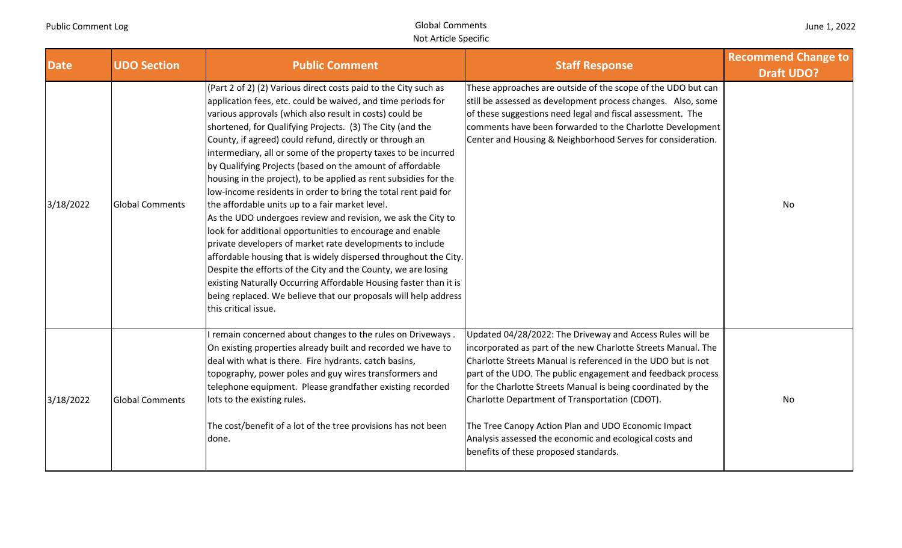| June 1, 2022 |  |  |  |
|--------------|--|--|--|
|--------------|--|--|--|

| <b>Date</b> | <b>UDO Section</b>     | <b>Public Comment</b>                                                                                                                                                                                                                                                                                                                                                                                                                                                                                                                                                                                                                                                                                                                                                                                                                                                                                                                                                                                                                                                                                                                     | <b>Staff Response</b>                                                                                                                                                                                                                                                                                                                                                                                                                                                                                                                  | <b>Recommend Change to</b><br><b>Draft UDO?</b> |
|-------------|------------------------|-------------------------------------------------------------------------------------------------------------------------------------------------------------------------------------------------------------------------------------------------------------------------------------------------------------------------------------------------------------------------------------------------------------------------------------------------------------------------------------------------------------------------------------------------------------------------------------------------------------------------------------------------------------------------------------------------------------------------------------------------------------------------------------------------------------------------------------------------------------------------------------------------------------------------------------------------------------------------------------------------------------------------------------------------------------------------------------------------------------------------------------------|----------------------------------------------------------------------------------------------------------------------------------------------------------------------------------------------------------------------------------------------------------------------------------------------------------------------------------------------------------------------------------------------------------------------------------------------------------------------------------------------------------------------------------------|-------------------------------------------------|
| 3/18/2022   | <b>Global Comments</b> | (Part 2 of 2) (2) Various direct costs paid to the City such as<br>application fees, etc. could be waived, and time periods for<br>various approvals (which also result in costs) could be<br>shortened, for Qualifying Projects. (3) The City (and the<br>County, if agreed) could refund, directly or through an<br>intermediary, all or some of the property taxes to be incurred<br>by Qualifying Projects (based on the amount of affordable<br>housing in the project), to be applied as rent subsidies for the<br>low-income residents in order to bring the total rent paid for<br>the affordable units up to a fair market level.<br>As the UDO undergoes review and revision, we ask the City to<br>look for additional opportunities to encourage and enable<br>private developers of market rate developments to include<br>affordable housing that is widely dispersed throughout the City.<br>Despite the efforts of the City and the County, we are losing<br>existing Naturally Occurring Affordable Housing faster than it is<br>being replaced. We believe that our proposals will help address<br>this critical issue. | These approaches are outside of the scope of the UDO but can<br>still be assessed as development process changes. Also, some<br>of these suggestions need legal and fiscal assessment. The<br>comments have been forwarded to the Charlotte Development<br>Center and Housing & Neighborhood Serves for consideration.                                                                                                                                                                                                                 | No                                              |
| 3/18/2022   | <b>Global Comments</b> | remain concerned about changes to the rules on Driveways.<br>On existing properties already built and recorded we have to<br>deal with what is there. Fire hydrants. catch basins,<br>topography, power poles and guy wires transformers and<br>telephone equipment. Please grandfather existing recorded<br>lots to the existing rules.<br>The cost/benefit of a lot of the tree provisions has not been<br>done.                                                                                                                                                                                                                                                                                                                                                                                                                                                                                                                                                                                                                                                                                                                        | Updated 04/28/2022: The Driveway and Access Rules will be<br>incorporated as part of the new Charlotte Streets Manual. The<br>Charlotte Streets Manual is referenced in the UDO but is not<br>part of the UDO. The public engagement and feedback process<br>for the Charlotte Streets Manual is being coordinated by the<br>Charlotte Department of Transportation (CDOT).<br>The Tree Canopy Action Plan and UDO Economic Impact<br>Analysis assessed the economic and ecological costs and<br>benefits of these proposed standards. | No                                              |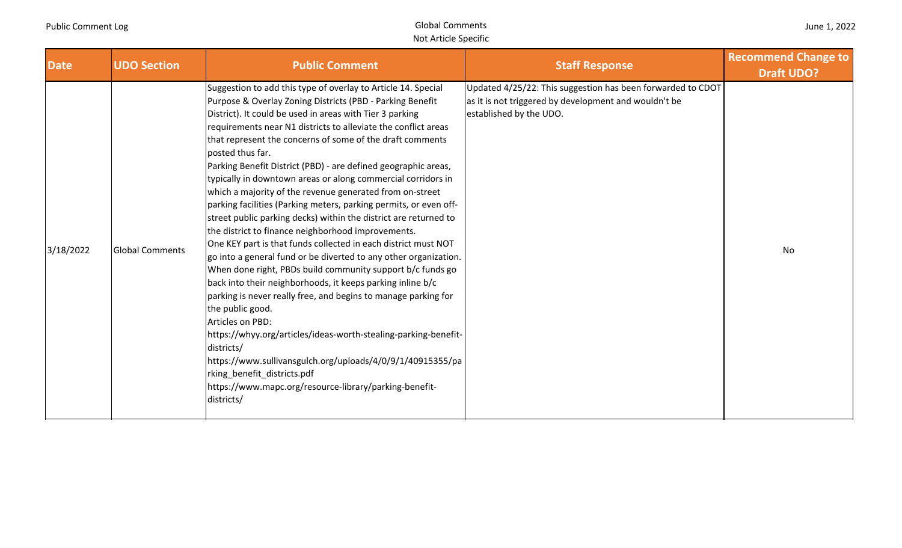| June 1, 2022 |  |  |  |
|--------------|--|--|--|
|--------------|--|--|--|

| <b>Date</b> | <b>UDO Section</b>     | <b>Public Comment</b>                                                                                                                                                                                                                                                                                                                                                                                                                                                                                                                                                                                                                                                                                                                                                                                                                                                                                                                                                                                                                                                                                                                                                                                                                                                                                                                                                    | <b>Staff Response</b>                                                                                                                           | <b>Recommend Change to</b><br><b>Draft UDO?</b> |
|-------------|------------------------|--------------------------------------------------------------------------------------------------------------------------------------------------------------------------------------------------------------------------------------------------------------------------------------------------------------------------------------------------------------------------------------------------------------------------------------------------------------------------------------------------------------------------------------------------------------------------------------------------------------------------------------------------------------------------------------------------------------------------------------------------------------------------------------------------------------------------------------------------------------------------------------------------------------------------------------------------------------------------------------------------------------------------------------------------------------------------------------------------------------------------------------------------------------------------------------------------------------------------------------------------------------------------------------------------------------------------------------------------------------------------|-------------------------------------------------------------------------------------------------------------------------------------------------|-------------------------------------------------|
| 3/18/2022   | <b>Global Comments</b> | Suggestion to add this type of overlay to Article 14. Special<br>Purpose & Overlay Zoning Districts (PBD - Parking Benefit<br>District). It could be used in areas with Tier 3 parking<br>requirements near N1 districts to alleviate the conflict areas<br>that represent the concerns of some of the draft comments<br>posted thus far.<br>Parking Benefit District (PBD) - are defined geographic areas,<br>typically in downtown areas or along commercial corridors in<br>which a majority of the revenue generated from on-street<br>parking facilities (Parking meters, parking permits, or even off-<br>street public parking decks) within the district are returned to<br>the district to finance neighborhood improvements.<br>One KEY part is that funds collected in each district must NOT<br>go into a general fund or be diverted to any other organization.<br>When done right, PBDs build community support b/c funds go<br>back into their neighborhoods, it keeps parking inline b/c<br>parking is never really free, and begins to manage parking for<br>the public good.<br>Articles on PBD:<br>https://whyy.org/articles/ideas-worth-stealing-parking-benefit-<br>districts/<br>https://www.sullivansgulch.org/uploads/4/0/9/1/40915355/pa<br>rking_benefit_districts.pdf<br>https://www.mapc.org/resource-library/parking-benefit-<br>districts/ | Updated 4/25/22: This suggestion has been forwarded to CDOT<br>as it is not triggered by development and wouldn't be<br>established by the UDO. | No                                              |